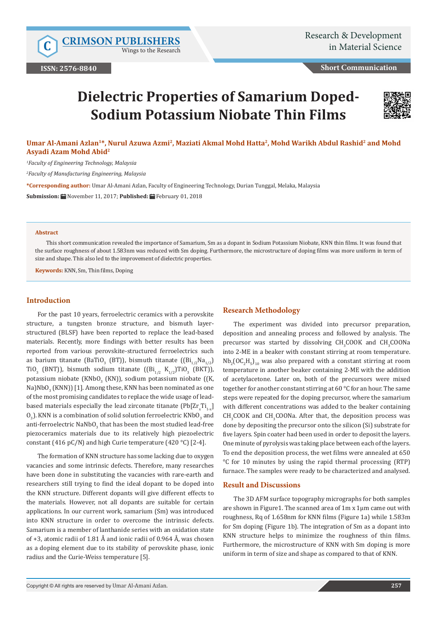Wings to the Research

**Short Communication**

# **Dielectric Properties of Samarium Doped-Sodium Potassium Niobate Thin Films**



## Umar Al-Amani Azlan<sup>1\*</sup>, Nurul Azuwa Azmi<sup>2</sup>, Maziati Akmal Mohd Hatta<sup>2</sup>, Mohd Warikh Abdul Rashid<sup>2</sup> and Mohd **Asyadi Azam Mohd Abid2**

*1 Faculty of Engineering Technology, Malaysia*

*2 Faculty of Manufacturing Engineering, Malaysia*

**\*Corresponding author:** Umar Al-Amani Azlan, Faculty of Engineering Technology, Durian Tunggal, Melaka, Malaysia

**Submission:** November 11, 2017; **Published:** February 01, 2018

#### **Abstract**

This short communication revealed the importance of Samarium, Sm as a dopant in Sodium Potassium Niobate, KNN thin films. It was found that the surface roughness of about 1.583nm was reduced with Sm doping. Furthermore, the microstructure of doping films was more uniform in term of size and shape. This also led to the improvement of dielectric properties.

**Keywords:** KNN, Sm, Thin films, Doping

### **Introduction**

For the past 10 years, ferroelectric ceramics with a perovskite structure, a tungsten bronze structure, and bismuth layerstructured (BLSF) have been reported to replace the lead-based materials. Recently, more findings with better results has been reported from various perovskite-structured ferroelectrics such as barium titanate (BaTiO<sub>3</sub> (BT)), bismuth titanate ((Bi<sub>1/2</sub>Na<sub>1/2</sub>) TiO<sub>3</sub> (BNT)), bismuth sodium titanate  $((Bi_{1/2} K_{1/2})TiO_3 (BKT))$ , potassium niobate (KNb $O_{3}$  (KN)), sodium potassium niobate ((K, Na)Nb $O_3$  (KNN)) [1]. Among these, KNN has been nominated as one of the most promising candidates to replace the wide usage of leadbased materials especially the lead zirconate titanate (Pb[ $\text{Zr}_{\text{x}}\text{Ti}_{\text{1-x}}$ )  $\mathrm{O}_3$ ). KNN is a combination of solid solution ferroelectric KNb $\mathrm{O}_3$  and anti-ferroelectric NaNb $\rm O^3_3$  that has been the most studied lead-free piezoceramics materials due to its relatively high piezoelectric constant (416 pC/N) and high Curie temperature (420 °C) [2-4].

The formation of KNN structure has some lacking due to oxygen vacancies and some intrinsic defects. Therefore, many researches have been done in substituting the vacancies with rare-earth and researchers still trying to find the ideal dopant to be doped into the KNN structure. Different dopants will give different effects to the materials. However, not all dopants are suitable for certain applications. In our current work, samarium (Sm) was introduced into KNN structure in order to overcome the intrinsic defects. Samarium is a member of lanthanide series with an oxidation state of +3, atomic radii of 1.81 Å and ionic radii of 0.964 Å, was chosen as a doping element due to its stability of perovskite phase, ionic radius and the Curie-Weiss temperature [5].

#### **Research Methodology**

The experiment was divided into precursor preparation, deposition and annealing process and followed by analysis. The precursor was started by dissolving  $CH_3COOK$  and  $CH_3COONa$ into 2-ME in a beaker with constant stirring at room temperature.  $Nb_2[OC_2H_5]_{10}$  was also prepared with a constant stirring at room temperature in another beaker containing 2-ME with the addition of acetylacetone. Later on, both of the precursors were mixed together for another constant stirring at 60 °C for an hour. The same steps were repeated for the doping precursor, where the samarium with different concentrations was added to the beaker containing  $CH<sub>3</sub>$ COOK and CH<sub>3</sub>COONa. After that, the deposition process was done by depositing the precursor onto the silicon (Si) substrate for five layers. Spin coater had been used in order to deposit the layers. One minute of pyrolysis was taking place between each of the layers. To end the deposition process, the wet films were annealed at 650 °C for 10 minutes by using the rapid thermal processing (RTP) furnace. The samples were ready to be characterized and analysed.

### **Result and Discussions**

The 3D AFM surface topography micrographs for both samples are shown in Figure1. The scanned area of 1m x 1µm came out with roughness, Rq of 1.658nm for KNN films (Figure 1a) while 1.583m for Sm doping (Figure 1b). The integration of Sm as a dopant into KNN structure helps to minimize the roughness of thin films. Furthermore, the microstructure of KNN with Sm doping is more uniform in term of size and shape as compared to that of KNN.